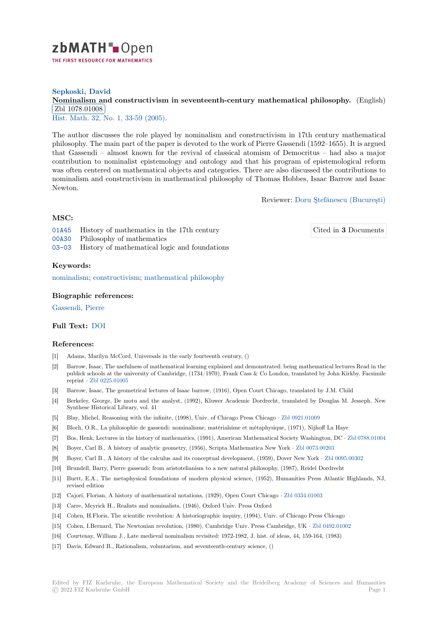

## **Sepkoski, David**

# **[N](https://zbmath.org/)ominalism and constructivism in seventeenth-century mathematical philosophy.** (English) Zbl 1078.01008

<u>Hist. Math. 32,</u> No. 1, 33-59 (2005).

[The author discusses the role played by nominalism and constructivism in 17th century ma](https://zbmath.org/1078.01008)thematical [philosophy. The m](https://zbmath.org/1078.01008)ain part of the paper is devoted to the work of Pierre Gassendi (1592–1655). It is argued [that Gassen](https://zbmath.org/journals/?q=se:1579)[di – almost known for](https://zbmath.org/?q=in:114449) the revival of classical atomism of Democritus – had also a major contribution to nominalist epistemology and ontology and that his program of epistemological reform was often centered on mathematical objects and categories. There are also discussed the contributions to nominalism and constructivism in mathematical philosophy of Thomas Hobbes, Isaac Barrow and Isaac Newton.

Reviewer: Doru Ştefănescu (Bucureşti)

# **MSC:**

01A45 History of mathematics in the 17th century 00A30 Philosophy of mathematics

03-03 History of mathematical logic and foundations

## **[Keyw](https://zbmath.org/classification/?q=cc:01A45)ords:**

[nomin](https://zbmath.org/classification/?q=cc:00A30)alism; constructivism; mathematical philosophy

## **Biographic references:**

[Gassendi, P](https://zbmath.org/?q=ut:nominalism)i[erre](https://zbmath.org/?q=ut:constructivism)

#### **Full Text:** DOI

#### **[References:](https://zbmath.org/authors?q=ai:gassendi.pierre)**

- [1] Adams, Marilyn McCord, Universals in the early fourteenth century, ()
- [2] Barrow,I[saac, T](https://dx.doi.org/10.1016/j.hm.2003.09.002)he usefulness of mathematical learning explained and demonstrated: being mathematical lectures Read in the publick schools at the university of Cambridge, (1734/1970), Frank Cass & Co London, translated by John Kirkby. Facsimile reprint *·* Zbl 0225.01005
- [3] Barrow, Isaac, The geometrical lectures of Isaac barrow, (1916), Open Court Chicago, translated by J.M. Child
- [4] Berkeley, George, De motu and the analyst, (1992), Kluwer Academic Dordrecht, translated by Douglas M. Jesseph. New Synthese Historical Library, vol. 41
- [5] Blay, Mi[chel, Reasoning](https://zbmath.org/0225.01005) with the infinite, (1998), Univ. of Chicago Press Chicago *·* Zbl 0921.01009
- [6] Bloch, O.R., La philosophie de gassendi: nominalisme, matérialsime et métaphysique, (1971), Nijhoff La Haye
- [7] Bos, Henk, Lectures in the history of mathematics, (1991), American Mathematical Society Washington, DC *·* Zbl 0788.01004
- [8] Boyer, Carl B., A history of analytic geometry, (1956), Scripta Mathematica New York *·* Zbl 0073.00203
- [9] Boyer, Carl B., A history of the calculus and its conceptual development, (1959), D[over New York](https://zbmath.org/0921.01009) *·* Zbl 0095.00302
- [10] Brundell, Barry, Pierre gassendi: from aristotelianism to a new natural philosophy, (1987), Reidel Dordrecht
- [11] Burtt, E.A., The metaphysical foundations of modern physical science, (1952), Human[ities Press Atla](https://zbmath.org/0073.00203)ntic [Highlands, NJ,](https://zbmath.org/0788.01004) revised edition
- [12] Cajori, Florian, A history of mathematical notations, (1929), Open Court Chicago *·* Zbl 0334.01003
- [13] Carre, Meyrick H., Realists and nominalists, (1946), Oxford Univ. Press Oxford
- [14] Cohen, H.Floris, The scientific revolution: A historiographic inquiry, (1994), Univ. of Chicago Press Chicago
- [15] Cohen, I.Bernard, The Newtonian revolution, (1980), Cambridge Univ. Press Cambridge, UK *·* Zbl 0492.01002
- [16] Courtenay, William J., Late medieval nominalism revisited: 1972-1982, J. hist. of id[eas, 44, 159-164,](https://zbmath.org/0334.01003) (1983)
- [17] Davis, Edward B., Rationalism, voluntarism, and seventeenth-century science, ()

Cited in **3** [Documents](https://zbmath.org/authors/?q=stefanescu.doru)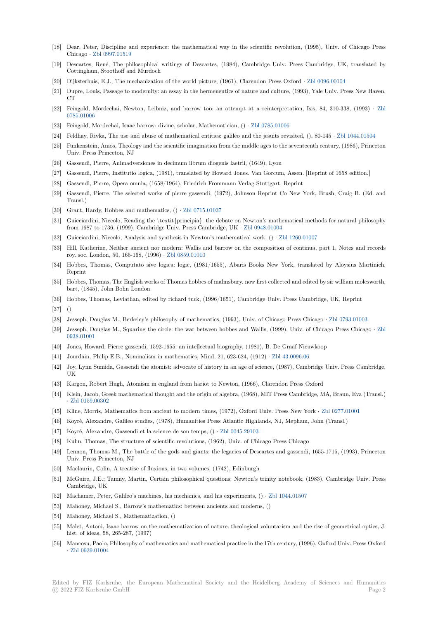- [18] Dear, Peter, Discipline and experience: the mathematical way in the scientific revolution, (1995), Univ. of Chicago Press Chicago *·* Zbl 0997.01519
- [19] Descartes, René, The philosophical writings of Descartes, (1984), Cambridge Univ. Press Cambridge, UK, translated by Cottingham, Stoothoff and Murdoch
- [20] Dijksterhuis, E.J., The mechanization of the world picture, (1961), Clarendon Press Oxford *·* Zbl 0096.00104
- [21] Dupre, Lo[uis, Passage to m](https://zbmath.org/0997.01519)odernity: an essay in the hermeneutics of nature and culture, (1993), Yale Univ. Press New Haven,  $_{\rm CT}$
- [22] Feingold, Mordechai, Newton, Leibniz, and barrow too: an attempt at a reinterpretation, Isis, 84, 310-338, (1993) *·* Zbl 0785.01006
- [23] Feingold, Mordechai, Isaac barrow: divine, scholar, Mathematician, () *·* Zbl 0785.01006
- [24] Feldhay, Rivka, The use and abuse of mathematical entities: galileo and the jesuits revisited, (), 80-145 *·* Zbl 1044.01504
- [25] Funkenstein, Amos, Theology and the scientific imagination from the middle ages to the seventeenth century, (1986), Prince[ton](https://zbmath.org/0785.01006) [Univ. Press](https://zbmath.org/0785.01006) Princeton, NJ
- [26] Gassendi, Pierre, Animadversiones in decimum librum diogenis laetrii, [\(1649\), Lyon](https://zbmath.org/0785.01006)
- [27] Gassendi, Pierre, Institutio logica, (1981), translated by Howard Jones. Van Gorcum, Assen. [Reprint of [1658 edition.\]](https://zbmath.org/1044.01504)
- [28] Gassendi, Pierre, Opera omnia, (1658/1964), Friedrich Frommann Verlag Stuttgart, Reprint
- [29] Gassendi, Pierre, The selected works of pierre gassendi, (1972), Johnson Reprint Co New York, Brush, Craig B. (Ed. and Transl.)
- [30] Grant, Hardy, Hobbes and mathematics, () *·* Zbl 0715.01037
- [31] Guicciardini, Niccolo, Reading the \textit{principia}: the debate on Newton's mathematical methods for natural philosophy from 1687 to 1736, (1999), Cambridge Univ. Press Cambridge, UK *·* Zbl 0948.01004
- [32] Guicciardini, Niccolo, Analysis and synthesis in Newton's mathematical work, () *·* Zbl 1260.01007
- [33] Hill, Katherine, Neither ancient nor modern: [Wallis and bar](https://zbmath.org/0715.01037)row on the composition of continua, part 1, Notes and records roy. soc. London, 50, 165-168, (1996) *·* Zbl 0859.01010
- [34] Hobbes, Thomas, Computato sive logica: logic, (1981/1655), Abar[is Books New Y](https://zbmath.org/0948.01004)ork, translated by Aloysius Martinich. Reprint
- [35] Hobbes, Thomas, The English works of Thomas hobbes of malmsbury. now first collected and edited by sir william molesworth, bart, (1845), John Bohn London
- [36] Hobbes, Thomas, Leviathan, edited by richard tuck, (1996/1651), Cambridge Univ. Press Cambridge, UK, Reprint
- [37] ()
- [38] Jesseph, Douglas M., Berkeley's philosophy of mathematics, (1993), Univ. of Chicago Press Chicago *·* Zbl 0793.01003
- [39] Jesseph, Douglas M., Squaring the circle: the war between hobbes and Wallis, (1999), Univ. of Chicago Press Chicago *·* Zbl 0938.01001
- [40] Jones, Howard, Pierre gassendi, 1592-1655: an intellectual biography, (1981), B. De Graaf Nieuwkoop
- [41] Jourdain, Philip E.B., Nominalism in mathematics, Mind, 21, 623-624, (1912) *·* Zbl 43.0096.06
- [42] Joy, Lynn Sumida, Gassendi the atomist: advocate of history in an age of science, (1987), Cambridge Univ. Press Cambri[dge,](https://zbmath.org/0938.01001) [UK](https://zbmath.org/0938.01001)
- [43] Kargon, Robert Hugh, Atomism in england from hariot to Newton, (1966), Clarendon Press Oxford
- [44] Klein, Jacob, Greek mathematical thought and the origin of algebra, (1968), MI[T Press Cambrid](https://zbmath.org/43.0096.06)ge, MA, Braun, Eva (Transl.) *·* Zbl 0159.00302
- [45] Kline, Morris, Mathematics from ancient to modern times, (1972), Oxford Univ. Press New York *·* Zbl 0277.01001
- [46] Koyré, Alexandre, Galileo studies, (1978), Humanities Press Atlantic Highlands, NJ, Mepham, John (Transl.)
- [47] Koyré, Alexandre, Gassendi et la science de son temps, () *·* Zbl 0045.29103
- [48] [Kuhn, Thomas, T](https://zbmath.org/0159.00302)he structure of scientific revolutions, (1962), Univ. of Chicago Press Chicago
- [49] Lennon, Thomas M., The battle of the gods and giants: the legacies of Descartes and gassendi, 165[5-1715, \(1993\),](https://zbmath.org/0277.01001) Princeton Univ. Press Princeton, NJ
- [50] Maclaurin, Colin, A treatise of fluxions, in two volumes, (1[742\), Edinburgh](https://zbmath.org/0045.29103)
- [51] McGuire, J.E.; Tamny, Martin, Certain philosophical questions: Newton's trinity notebook, (1983), Cambridge Univ. Press Cambridge, UK
- [52] Machamer, Peter, Galileo's machines, his mechanics, and his experiments, () *·* Zbl 1044.01507
- [53] Mahoney, Michael S., Barrow's mathematics: between ancients and moderns, ()
- [54] Mahoney, Michael S., Mathematization, ()
- [55] Malet, Antoni, Isaac barrow on the mathematization of nature: theological vol[untarism and th](https://zbmath.org/1044.01507)e rise of geometrical optics, J. hist. of ideas, 58, 265-287, (1997)
- [56] Mancosu, Paolo, Philosophy of mathematics and mathematical practice in the 17th century, (1996), Oxford Univ. Press Oxford *·* Zbl 0939.01004